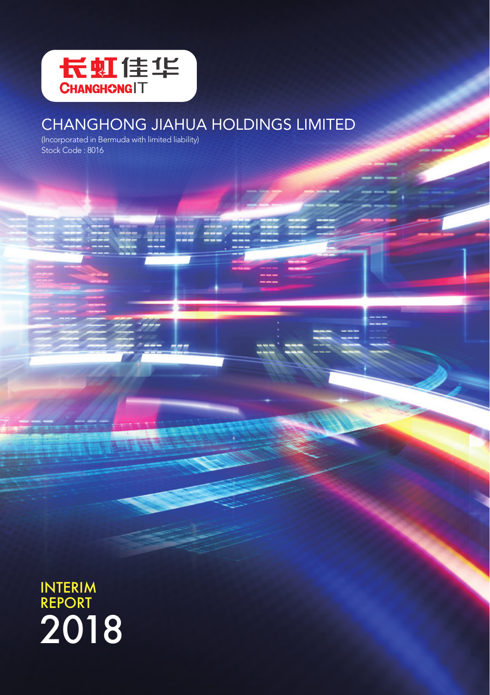

# CHANGHONG JIAHUA HOLDINGS LIMITED

(Incorporated in Bermuda with limited liability) Stock Code: 8016

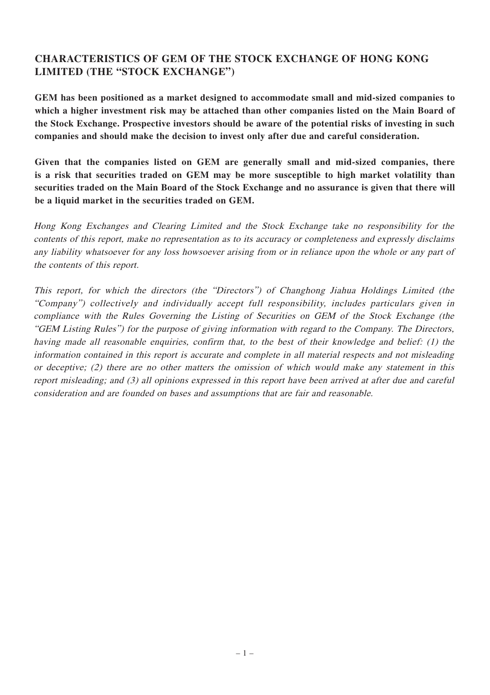# **CHARACTERISTICS OF GEM OF THE STOCK EXCHANGE OF HONG KONG LIMITED (THE "STOCK EXCHANGE")**

**GEM has been positioned as a market designed to accommodate small and mid-sized companies to which a higher investment risk may be attached than other companies listed on the Main Board of the Stock Exchange. Prospective investors should be aware of the potential risks of investing in such companies and should make the decision to invest only after due and careful consideration.**

**Given that the companies listed on GEM are generally small and mid-sized companies, there is a risk that securities traded on GEM may be more susceptible to high market volatility than securities traded on the Main Board of the Stock Exchange and no assurance is given that there will be a liquid market in the securities traded on GEM.**

Hong Kong Exchanges and Clearing Limited and the Stock Exchange take no responsibility for the contents of this report, make no representation as to its accuracy or completeness and expressly disclaims any liability whatsoever for any loss howsoever arising from or in reliance upon the whole or any part of the contents of this report.

This report, for which the directors (the "Directors") of Changhong Jiahua Holdings Limited (the "Company") collectively and individually accept full responsibility, includes particulars given in compliance with the Rules Governing the Listing of Securities on GEM of the Stock Exchange (the "GEM Listing Rules") for the purpose of giving information with regard to the Company. The Directors, having made all reasonable enquiries, confirm that, to the best of their knowledge and belief: (1) the information contained in this report is accurate and complete in all material respects and not misleading or deceptive; (2) there are no other matters the omission of which would make any statement in this report misleading; and (3) all opinions expressed in this report have been arrived at after due and careful consideration and are founded on bases and assumptions that are fair and reasonable.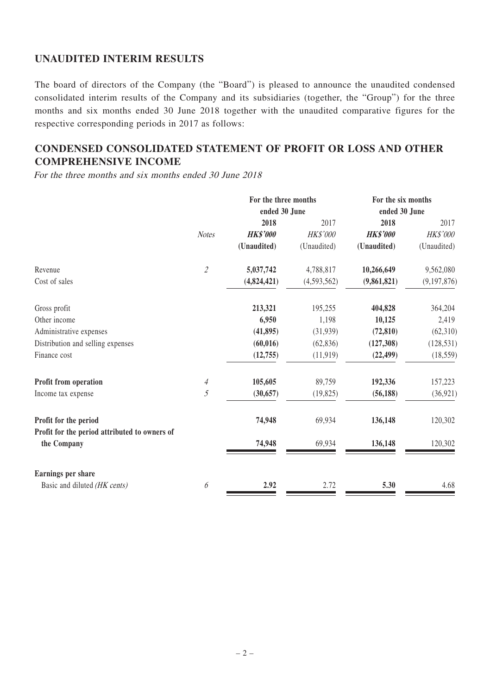## **UNAUDITED INTERIM RESULTS**

The board of directors of the Company (the "Board") is pleased to announce the unaudited condensed consolidated interim results of the Company and its subsidiaries (together, the "Group") for the three months and six months ended 30 June 2018 together with the unaudited comparative figures for the respective corresponding periods in 2017 as follows:

# **CONDENSED CONSOLIDATED STATEMENT OF PROFIT OR LOSS AND OTHER COMPREHENSIVE INCOME**

For the three months and six months ended 30 June 2018

|                                                              |                | For the three months |                 | For the six months |                 |
|--------------------------------------------------------------|----------------|----------------------|-----------------|--------------------|-----------------|
|                                                              |                | ended 30 June        |                 | ended 30 June      |                 |
|                                                              |                | 2018                 | 2017            | 2018               | 2017            |
|                                                              | <b>Notes</b>   | <b>HK\$'000</b>      | <b>HK\$'000</b> | <b>HK\$'000</b>    | <b>HK\$'000</b> |
|                                                              |                | (Unaudited)          | (Unaudited)     | (Unaudited)        | (Unaudited)     |
| Revenue                                                      | $\mathfrak{2}$ | 5,037,742            | 4,788,817       | 10,266,649         | 9,562,080       |
| Cost of sales                                                |                | (4,824,421)          | (4,593,562)     | (9,861,821)        | (9, 197, 876)   |
| Gross profit                                                 |                | 213,321              | 195,255         | 404,828            | 364,204         |
| Other income                                                 |                | 6,950                | 1,198           | 10,125             | 2,419           |
| Administrative expenses                                      |                | (41, 895)            | (31,939)        | (72, 810)          | (62,310)        |
| Distribution and selling expenses                            |                | (60, 016)            | (62, 836)       | (127,308)          | (128, 531)      |
| Finance cost                                                 |                | (12,755)             | (11, 919)       | (22, 499)          | (18, 559)       |
| Profit from operation                                        | 4              | 105,605              | 89,759          | 192,336            | 157,223         |
| Income tax expense                                           | 5              | (30, 657)            | (19, 825)       | (56, 188)          | (36, 921)       |
| Profit for the period                                        |                | 74,948               | 69,934          | 136,148            | 120,302         |
| Profit for the period attributed to owners of<br>the Company |                | 74,948               | 69,934          | 136,148            | 120,302         |
| Earnings per share                                           |                |                      |                 |                    |                 |
| Basic and diluted (HK cents)                                 | 6              | 2.92                 | 2.72            | 5.30               | 4.68            |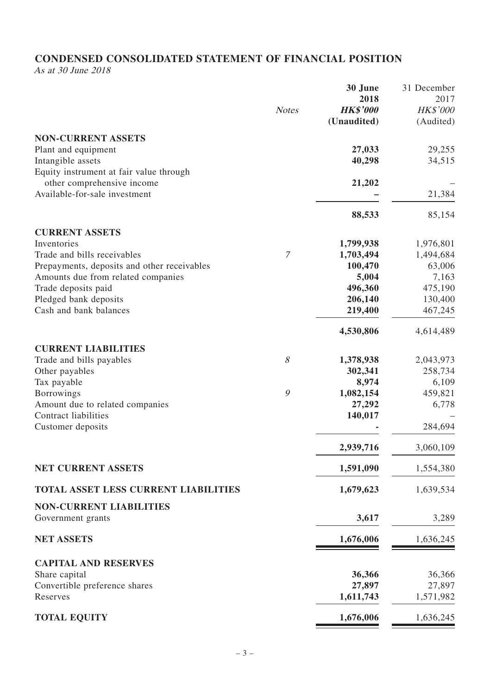# **CONDENSED CONSOLIDATED STATEMENT OF FINANCIAL POSITION**

As at 30 June 2018

|                                                             |                | 30 June                 | 31 December             |
|-------------------------------------------------------------|----------------|-------------------------|-------------------------|
|                                                             | <b>Notes</b>   | 2018<br><b>HK\$'000</b> | 2017<br><b>HK\$'000</b> |
|                                                             |                | (Unaudited)             | (Audited)               |
|                                                             |                |                         |                         |
| <b>NON-CURRENT ASSETS</b>                                   |                |                         |                         |
| Plant and equipment                                         |                | 27,033                  | 29,255                  |
| Intangible assets                                           |                | 40,298                  | 34,515                  |
| Equity instrument at fair value through                     |                |                         |                         |
| other comprehensive income<br>Available-for-sale investment |                | 21,202                  | 21,384                  |
|                                                             |                |                         |                         |
|                                                             |                | 88,533                  | 85,154                  |
| <b>CURRENT ASSETS</b>                                       |                |                         |                         |
| Inventories                                                 |                | 1,799,938               | 1,976,801               |
| Trade and bills receivables                                 | $\overline{7}$ | 1,703,494               | 1,494,684               |
| Prepayments, deposits and other receivables                 |                | 100,470                 | 63,006                  |
| Amounts due from related companies                          |                | 5,004                   | 7,163                   |
| Trade deposits paid                                         |                | 496,360                 | 475,190                 |
| Pledged bank deposits                                       |                | 206,140                 | 130,400                 |
| Cash and bank balances                                      |                | 219,400                 | 467,245                 |
|                                                             |                | 4,530,806               | 4,614,489               |
| <b>CURRENT LIABILITIES</b>                                  |                |                         |                         |
| Trade and bills payables                                    | 8              | 1,378,938               | 2,043,973               |
| Other payables                                              |                | 302,341                 | 258,734                 |
| Tax payable                                                 |                | 8,974                   | 6,109                   |
| <b>Borrowings</b>                                           | 9              | 1,082,154               | 459,821                 |
| Amount due to related companies                             |                | 27,292                  | 6,778                   |
| Contract liabilities                                        |                | 140,017                 |                         |
| Customer deposits                                           |                |                         | 284,694                 |
|                                                             |                | 2,939,716               | 3,060,109               |
| <b>NET CURRENT ASSETS</b>                                   |                | 1,591,090               | 1,554,380               |
| TOTAL ASSET LESS CURRENT LIABILITIES                        |                | 1,679,623               | 1,639,534               |
| <b>NON-CURRENT LIABILITIES</b>                              |                |                         |                         |
| Government grants                                           |                | 3,617                   | 3,289                   |
| <b>NET ASSETS</b>                                           |                | 1,676,006               | 1,636,245               |
|                                                             |                |                         |                         |
| <b>CAPITAL AND RESERVES</b>                                 |                |                         |                         |
| Share capital                                               |                | 36,366<br>27,897        | 36,366                  |
| Convertible preference shares<br>Reserves                   |                | 1,611,743               | 27,897<br>1,571,982     |
|                                                             |                |                         |                         |
| <b>TOTAL EQUITY</b>                                         |                | 1,676,006               | 1,636,245               |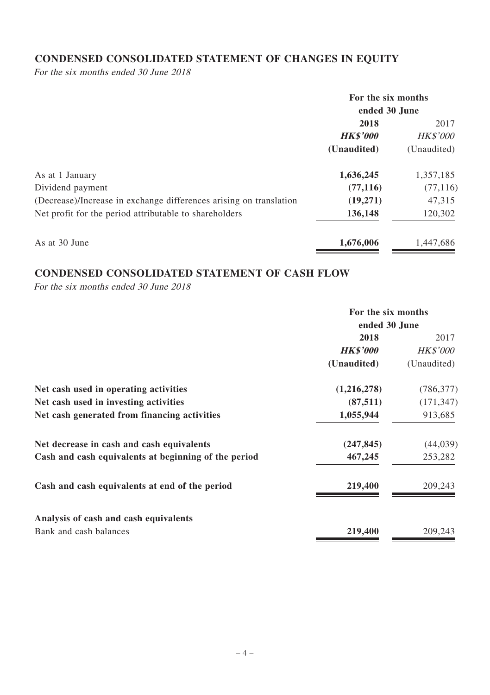# **CONDENSED CONSOLIDATED STATEMENT OF CHANGES IN EQUITY**

For the six months ended 30 June 2018

|                                                                    | For the six months<br>ended 30 June |                 |
|--------------------------------------------------------------------|-------------------------------------|-----------------|
|                                                                    | 2018                                | 2017            |
|                                                                    | <b>HK\$'000</b>                     | <b>HK\$'000</b> |
|                                                                    | (Unaudited)                         | (Unaudited)     |
| As at 1 January                                                    | 1,636,245                           | 1,357,185       |
| Dividend payment                                                   | (77, 116)                           | (77, 116)       |
| (Decrease)/Increase in exchange differences arising on translation | (19,271)                            | 47,315          |
| Net profit for the period attributable to shareholders             | 136,148                             | 120,302         |
| As at 30 June                                                      | 1,676,006                           | 1,447,686       |

# **CONDENSED CONSOLIDATED STATEMENT OF CASH FLOW**

For the six months ended 30 June 2018

| For the six months<br>ended 30 June |                 |  |
|-------------------------------------|-----------------|--|
|                                     |                 |  |
| <b>HK\$'000</b>                     | <b>HK\$'000</b> |  |
| (Unaudited)                         | (Unaudited)     |  |
| (1,216,278)                         | (786, 377)      |  |
| (87, 511)                           | (171, 347)      |  |
| 1,055,944                           | 913,685         |  |
| (247, 845)                          | (44, 039)       |  |
| 467,245                             | 253,282         |  |
| 219,400                             | 209,243         |  |
|                                     |                 |  |
| 219,400                             | 209,243         |  |
|                                     |                 |  |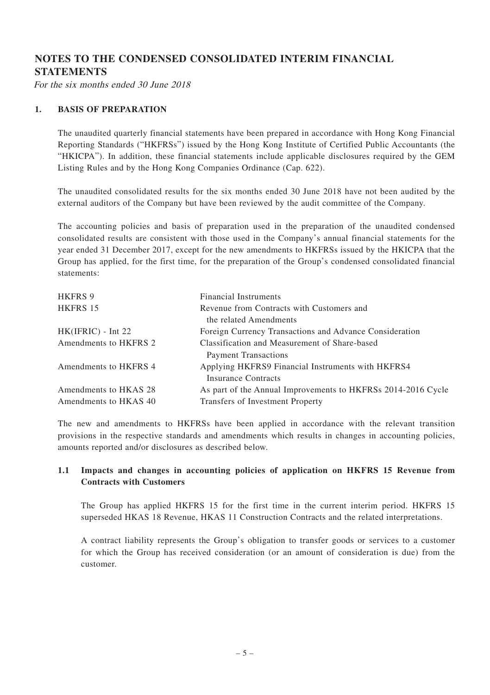# **NOTES TO THE CONDENSED CONSOLIDATED INTERIM FINANCIAL STATEMENTS**

For the six months ended 30 June 2018

#### **1. BASIS OF PREPARATION**

The unaudited quarterly financial statements have been prepared in accordance with Hong Kong Financial Reporting Standards ("HKFRSs") issued by the Hong Kong Institute of Certified Public Accountants (the "HKICPA"). In addition, these financial statements include applicable disclosures required by the GEM Listing Rules and by the Hong Kong Companies Ordinance (Cap. 622).

The unaudited consolidated results for the six months ended 30 June 2018 have not been audited by the external auditors of the Company but have been reviewed by the audit committee of the Company.

The accounting policies and basis of preparation used in the preparation of the unaudited condensed consolidated results are consistent with those used in the Company's annual financial statements for the year ended 31 December 2017, except for the new amendments to HKFRSs issued by the HKICPA that the Group has applied, for the first time, for the preparation of the Group's condensed consolidated financial statements:

| HKFRS 9               | <b>Financial Instruments</b>                                        |
|-----------------------|---------------------------------------------------------------------|
| HKFRS 15              | Revenue from Contracts with Customers and<br>the related Amendments |
| $HK(IFRIC) - Int 22$  | Foreign Currency Transactions and Advance Consideration             |
| Amendments to HKFRS 2 | Classification and Measurement of Share-based                       |
|                       | <b>Payment Transactions</b>                                         |
| Amendments to HKFRS 4 | Applying HKFRS9 Financial Instruments with HKFRS4                   |
|                       | <b>Insurance Contracts</b>                                          |
| Amendments to HKAS 28 | As part of the Annual Improvements to HKFRSs 2014-2016 Cycle        |
| Amendments to HKAS 40 | Transfers of Investment Property                                    |

The new and amendments to HKFRSs have been applied in accordance with the relevant transition provisions in the respective standards and amendments which results in changes in accounting policies, amounts reported and/or disclosures as described below.

#### **1.1 Impacts and changes in accounting policies of application on HKFRS 15 Revenue from Contracts with Customers**

The Group has applied HKFRS 15 for the first time in the current interim period. HKFRS 15 superseded HKAS 18 Revenue, HKAS 11 Construction Contracts and the related interpretations.

A contract liability represents the Group's obligation to transfer goods or services to a customer for which the Group has received consideration (or an amount of consideration is due) from the customer.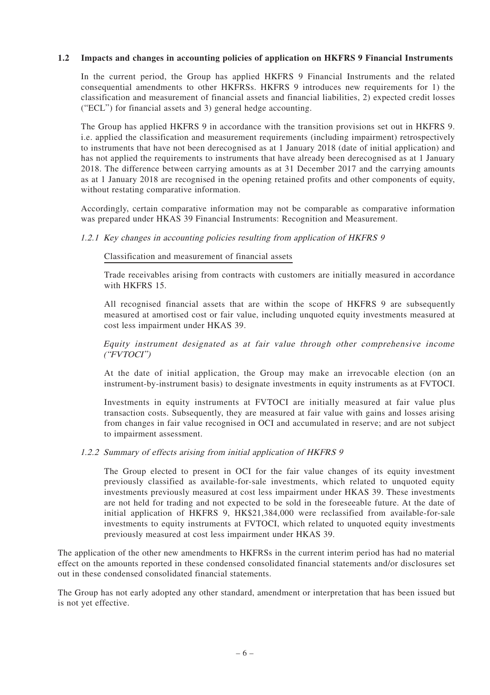#### **1.2 Impacts and changes in accounting policies of application on HKFRS 9 Financial Instruments**

In the current period, the Group has applied HKFRS 9 Financial Instruments and the related consequential amendments to other HKFRSs. HKFRS 9 introduces new requirements for 1) the classification and measurement of financial assets and financial liabilities, 2) expected credit losses ("ECL") for financial assets and 3) general hedge accounting.

The Group has applied HKFRS 9 in accordance with the transition provisions set out in HKFRS 9. i.e. applied the classification and measurement requirements (including impairment) retrospectively to instruments that have not been derecognised as at 1 January 2018 (date of initial application) and has not applied the requirements to instruments that have already been derecognised as at 1 January 2018. The difference between carrying amounts as at 31 December 2017 and the carrying amounts as at 1 January 2018 are recognised in the opening retained profits and other components of equity, without restating comparative information.

Accordingly, certain comparative information may not be comparable as comparative information was prepared under HKAS 39 Financial Instruments: Recognition and Measurement.

#### 1.2.1 Key changes in accounting policies resulting from application of HKFRS 9

#### Classification and measurement of financial assets

Trade receivables arising from contracts with customers are initially measured in accordance with HKFRS 15.

All recognised financial assets that are within the scope of HKFRS 9 are subsequently measured at amortised cost or fair value, including unquoted equity investments measured at cost less impairment under HKAS 39.

Equity instrument designated as at fair value through other comprehensive income ("FVTOCI")

At the date of initial application, the Group may make an irrevocable election (on an instrument-by-instrument basis) to designate investments in equity instruments as at FVTOCI.

Investments in equity instruments at FVTOCI are initially measured at fair value plus transaction costs. Subsequently, they are measured at fair value with gains and losses arising from changes in fair value recognised in OCI and accumulated in reserve; and are not subject to impairment assessment.

#### 1.2.2 Summary of effects arising from initial application of HKFRS 9

The Group elected to present in OCI for the fair value changes of its equity investment previously classified as available-for-sale investments, which related to unquoted equity investments previously measured at cost less impairment under HKAS 39. These investments are not held for trading and not expected to be sold in the foreseeable future. At the date of initial application of HKFRS 9, HK\$21,384,000 were reclassified from available-for-sale investments to equity instruments at FVTOCI, which related to unquoted equity investments previously measured at cost less impairment under HKAS 39.

The application of the other new amendments to HKFRSs in the current interim period has had no material effect on the amounts reported in these condensed consolidated financial statements and/or disclosures set out in these condensed consolidated financial statements.

The Group has not early adopted any other standard, amendment or interpretation that has been issued but is not yet effective.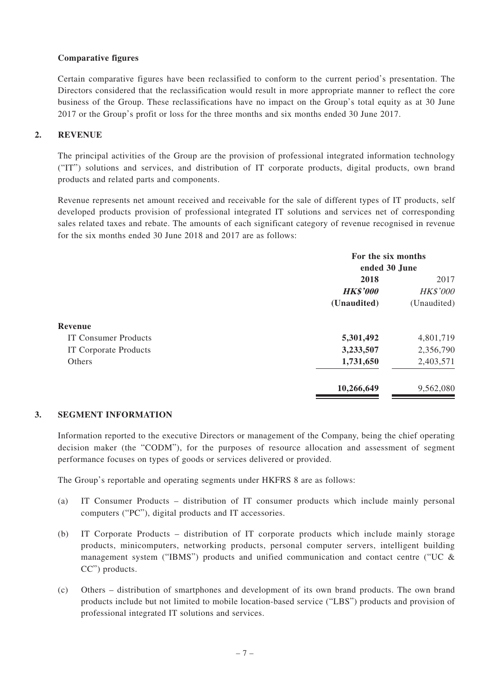#### **Comparative figures**

Certain comparative figures have been reclassified to conform to the current period's presentation. The Directors considered that the reclassification would result in more appropriate manner to reflect the core business of the Group. These reclassifications have no impact on the Group's total equity as at 30 June 2017 or the Group's profit or loss for the three months and six months ended 30 June 2017.

#### **2. REVENUE**

The principal activities of the Group are the provision of professional integrated information technology ("IT") solutions and services, and distribution of IT corporate products, digital products, own brand products and related parts and components.

Revenue represents net amount received and receivable for the sale of different types of IT products, self developed products provision of professional integrated IT solutions and services net of corresponding sales related taxes and rebate. The amounts of each significant category of revenue recognised in revenue for the six months ended 30 June 2018 and 2017 are as follows:

|                             | For the six months<br>ended 30 June |             |  |
|-----------------------------|-------------------------------------|-------------|--|
|                             |                                     |             |  |
|                             | 2018                                | 2017        |  |
|                             | <b>HK\$'000</b><br><b>HK\$'000</b>  |             |  |
|                             | (Unaudited)                         | (Unaudited) |  |
| Revenue                     |                                     |             |  |
| <b>IT Consumer Products</b> | 5,301,492                           | 4,801,719   |  |
| IT Corporate Products       | 3,233,507                           | 2,356,790   |  |
| Others                      | 1,731,650                           | 2,403,571   |  |
|                             | 10,266,649                          | 9,562,080   |  |
|                             |                                     |             |  |

#### **3. SEGMENT INFORMATION**

Information reported to the executive Directors or management of the Company, being the chief operating decision maker (the "CODM"), for the purposes of resource allocation and assessment of segment performance focuses on types of goods or services delivered or provided.

The Group's reportable and operating segments under HKFRS 8 are as follows:

- (a) IT Consumer Products distribution of IT consumer products which include mainly personal computers ("PC"), digital products and IT accessories.
- (b) IT Corporate Products distribution of IT corporate products which include mainly storage products, minicomputers, networking products, personal computer servers, intelligent building management system ("IBMS") products and unified communication and contact centre ("UC  $\&$ CC") products.
- (c) Others distribution of smartphones and development of its own brand products. The own brand products include but not limited to mobile location-based service ("LBS") products and provision of professional integrated IT solutions and services.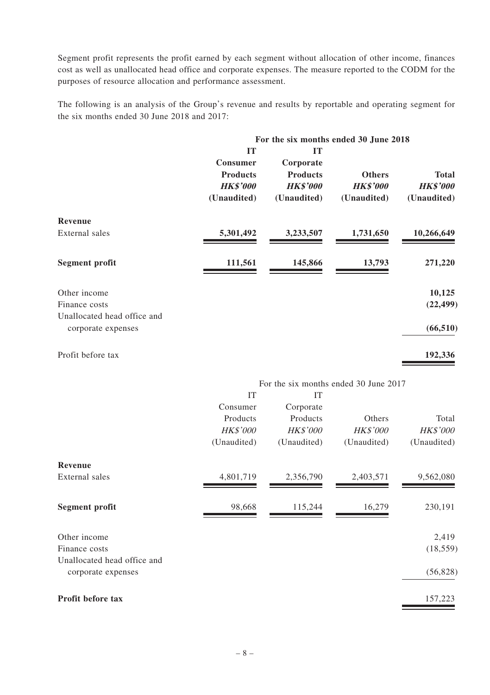Segment profit represents the profit earned by each segment without allocation of other income, finances cost as well as unallocated head office and corporate expenses. The measure reported to the CODM for the purposes of resource allocation and performance assessment.

The following is an analysis of the Group's revenue and results by reportable and operating segment for the six months ended 30 June 2018 and 2017:

|                                                              | For the six months ended 30 June 2018                               |                                                                      |                                                 |                                                |
|--------------------------------------------------------------|---------------------------------------------------------------------|----------------------------------------------------------------------|-------------------------------------------------|------------------------------------------------|
|                                                              | IT<br>Consumer<br><b>Products</b><br><b>HK\$'000</b><br>(Unaudited) | IТ<br>Corporate<br><b>Products</b><br><b>HK\$'000</b><br>(Unaudited) | <b>Others</b><br><b>HK\$'000</b><br>(Unaudited) | <b>Total</b><br><b>HK\$'000</b><br>(Unaudited) |
| Revenue<br>External sales                                    | 5,301,492                                                           | 3,233,507                                                            | 1,731,650                                       | 10,266,649                                     |
| Segment profit                                               | 111,561                                                             | 145,866                                                              | 13,793                                          | 271,220                                        |
| Other income<br>Finance costs<br>Unallocated head office and |                                                                     |                                                                      |                                                 | 10,125<br>(22, 499)                            |
| corporate expenses                                           |                                                                     |                                                                      |                                                 | (66, 510)                                      |
| Profit before tax                                            |                                                                     |                                                                      |                                                 | 192,336                                        |

| For the six months ended 30 June 2017 |  |
|---------------------------------------|--|
|---------------------------------------|--|

|                                                   | IT              | IT              |                 |                 |
|---------------------------------------------------|-----------------|-----------------|-----------------|-----------------|
|                                                   | Consumer        | Corporate       |                 |                 |
|                                                   | Products        | Products        | Others          | Total           |
|                                                   | <b>HK\$'000</b> | <b>HK\$'000</b> | <b>HK\$'000</b> | <b>HK\$'000</b> |
|                                                   | (Unaudited)     | (Unaudited)     | (Unaudited)     | (Unaudited)     |
| Revenue                                           |                 |                 |                 |                 |
| External sales                                    | 4,801,719       | 2,356,790       | 2,403,571       | 9,562,080       |
| Segment profit                                    | 98,668          | 115,244         | 16,279          | 230,191         |
| Other income                                      |                 |                 |                 | 2,419           |
| Finance costs                                     |                 |                 |                 | (18, 559)       |
| Unallocated head office and<br>corporate expenses |                 |                 |                 | (56, 828)       |
|                                                   |                 |                 |                 |                 |
| Profit before tax                                 |                 |                 |                 | 157,223         |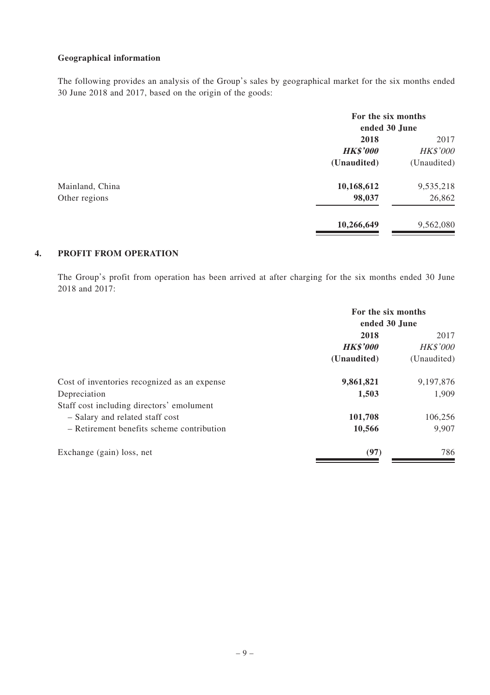#### **Geographical information**

The following provides an analysis of the Group's sales by geographical market for the six months ended 30 June 2018 and 2017, based on the origin of the goods:

|                 | For the six months<br>ended 30 June |                 |
|-----------------|-------------------------------------|-----------------|
|                 | 2018                                | 2017            |
|                 | <b>HK\$'000</b>                     | <b>HK\$'000</b> |
|                 | (Unaudited)                         | (Unaudited)     |
| Mainland, China | 10,168,612                          | 9,535,218       |
| Other regions   | 98,037                              | 26,862          |
|                 | 10,266,649                          | 9,562,080       |

#### **4. PROFIT FROM OPERATION**

The Group's profit from operation has been arrived at after charging for the six months ended 30 June 2018 and 2017:

|                                              | For the six months<br>ended 30 June |             |
|----------------------------------------------|-------------------------------------|-------------|
|                                              | 2018                                | 2017        |
|                                              | <b>HK\$'000</b><br><b>HK\$'000</b>  |             |
|                                              | (Unaudited)                         | (Unaudited) |
| Cost of inventories recognized as an expense | 9,861,821                           | 9,197,876   |
| Depreciation                                 | 1,503                               | 1.909       |
| Staff cost including directors' emolument    |                                     |             |
| - Salary and related staff cost              | 101,708                             | 106.256     |
| $-$ Retirement benefits scheme contribution  | 10,566                              | 9.907       |
| Exchange (gain) loss, net                    | (97)                                | 786         |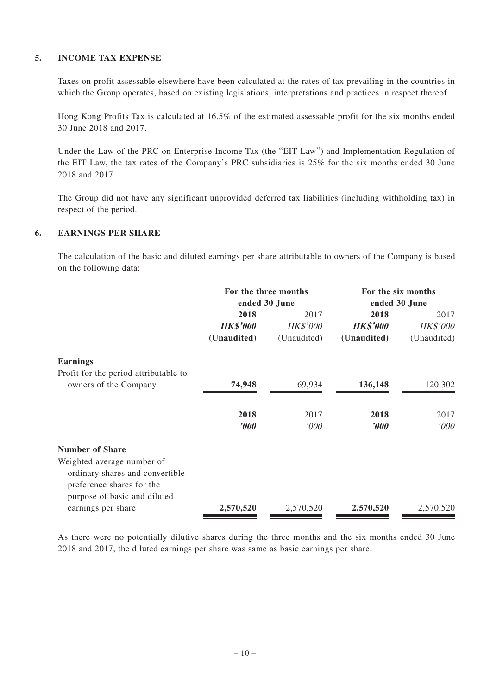#### **5. INCOME TAX EXPENSE**

Taxes on profit assessable elsewhere have been calculated at the rates of tax prevailing in the countries in which the Group operates, based on existing legislations, interpretations and practices in respect thereof.

Hong Kong Profits Tax is calculated at 16.5% of the estimated assessable profit for the six months ended 30 June 2018 and 2017.

Under the Law of the PRC on Enterprise Income Tax (the "EIT Law") and Implementation Regulation of the EIT Law, the tax rates of the Company's PRC subsidiaries is 25% for the six months ended 30 June 2018 and 2017.

The Group did not have any significant unprovided deferred tax liabilities (including withholding tax) in respect of the period.

#### **6. EARNINGS PER SHARE**

The calculation of the basic and diluted earnings per share attributable to owners of the Company is based on the following data:

|                                       | For the three months<br>ended 30 June |                 | For the six months<br>ended 30 June |                 |
|---------------------------------------|---------------------------------------|-----------------|-------------------------------------|-----------------|
|                                       | 2018                                  | 2017            | 2018                                | 2017            |
|                                       | <b>HK\$'000</b>                       | <b>HK\$'000</b> | <b>HK\$'000</b>                     | <b>HK\$'000</b> |
|                                       | (Unaudited)                           | (Unaudited)     | (Unaudited)                         | (Unaudited)     |
| <b>Earnings</b>                       |                                       |                 |                                     |                 |
| Profit for the period attributable to |                                       |                 |                                     |                 |
| owners of the Company                 | 74,948                                | 69,934          | 136,148                             | 120,302         |
|                                       | 2018                                  | 2017            | 2018                                | 2017            |
|                                       | $\bm{v}$                              | '000            | $\boldsymbol{v}$                    | '000'           |
| <b>Number of Share</b>                |                                       |                 |                                     |                 |
| Weighted average number of            |                                       |                 |                                     |                 |
| ordinary shares and convertible       |                                       |                 |                                     |                 |
| preference shares for the             |                                       |                 |                                     |                 |
| purpose of basic and diluted          |                                       |                 |                                     |                 |
| earnings per share                    | 2,570,520                             | 2,570,520       | 2,570,520                           | 2,570,520       |

As there were no potentially dilutive shares during the three months and the six months ended 30 June 2018 and 2017, the diluted earnings per share was same as basic earnings per share.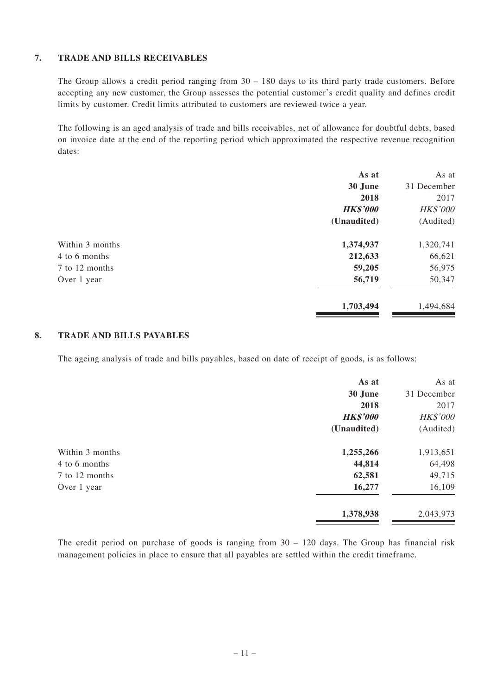#### **7. TRADE AND BILLS RECEIVABLES**

The Group allows a credit period ranging from  $30 - 180$  days to its third party trade customers. Before accepting any new customer, the Group assesses the potential customer's credit quality and defines credit limits by customer. Credit limits attributed to customers are reviewed twice a year.

The following is an aged analysis of trade and bills receivables, net of allowance for doubtful debts, based on invoice date at the end of the reporting period which approximated the respective revenue recognition dates:

|                 | As at           | As at           |
|-----------------|-----------------|-----------------|
|                 | 30 June         | 31 December     |
|                 | 2018            | 2017            |
|                 | <b>HK\$'000</b> | <b>HK\$'000</b> |
|                 | (Unaudited)     | (Audited)       |
| Within 3 months | 1,374,937       | 1,320,741       |
| 4 to 6 months   | 212,633         | 66,621          |
| 7 to 12 months  | 59,205          | 56,975          |
| Over 1 year     | 56,719          | 50,347          |
|                 | 1,703,494       | 1,494,684       |

#### **8. TRADE AND BILLS PAYABLES**

The ageing analysis of trade and bills payables, based on date of receipt of goods, is as follows:

|                 | As at           | As at           |
|-----------------|-----------------|-----------------|
|                 | 30 June         | 31 December     |
|                 | 2018            | 2017            |
|                 | <b>HK\$'000</b> | <b>HK\$'000</b> |
|                 | (Unaudited)     | (Audited)       |
| Within 3 months | 1,255,266       | 1,913,651       |
| 4 to 6 months   | 44,814          | 64,498          |
| 7 to 12 months  | 62,581          | 49,715          |
| Over 1 year     | 16,277          | 16,109          |
|                 | 1,378,938       | 2,043,973       |

The credit period on purchase of goods is ranging from 30 – 120 days. The Group has financial risk management policies in place to ensure that all payables are settled within the credit timeframe.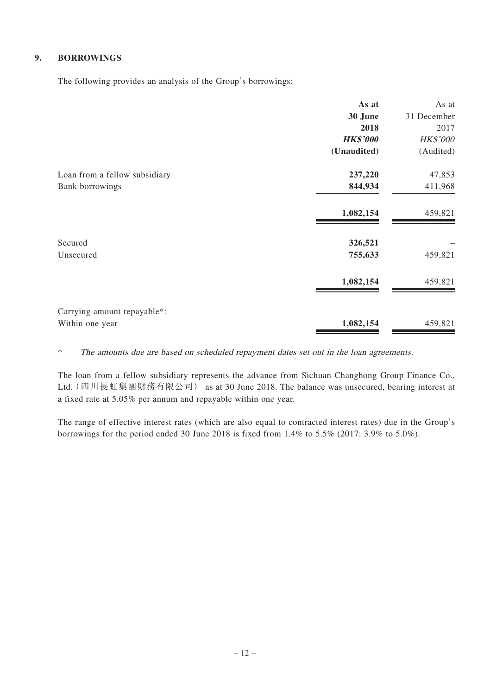## **9. BORROWINGS**

The following provides an analysis of the Group's borrowings:

|                               | As at           | As at           |
|-------------------------------|-----------------|-----------------|
|                               | 30 June         | 31 December     |
|                               | 2018            | 2017            |
|                               | <b>HK\$'000</b> | <b>HK\$'000</b> |
|                               | (Unaudited)     | (Audited)       |
| Loan from a fellow subsidiary | 237,220         | 47,853          |
| <b>Bank borrowings</b>        | 844,934         | 411,968         |
|                               | 1,082,154       | 459,821         |
| Secured                       | 326,521         |                 |
| Unsecured                     | 755,633         | 459,821         |
|                               | 1,082,154       | 459,821         |
| Carrying amount repayable*:   |                 |                 |
| Within one year               | 1,082,154       | 459,821         |

\* The amounts due are based on scheduled repayment dates set out in the loan agreements.

The loan from a fellow subsidiary represents the advance from Sichuan Changhong Group Finance Co., Ltd.(四川長虹集團財務有限公司) as at 30 June 2018. The balance was unsecured, bearing interest at a fixed rate at 5.05% per annum and repayable within one year.

The range of effective interest rates (which are also equal to contracted interest rates) due in the Group's borrowings for the period ended 30 June 2018 is fixed from 1.4% to 5.5% (2017: 3.9% to 5.0%).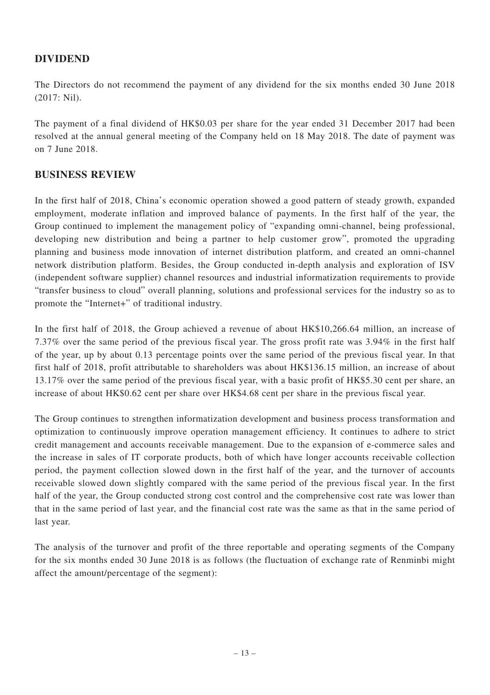# **DIVIDEND**

The Directors do not recommend the payment of any dividend for the six months ended 30 June 2018 (2017: Nil).

The payment of a final dividend of HK\$0.03 per share for the year ended 31 December 2017 had been resolved at the annual general meeting of the Company held on 18 May 2018. The date of payment was on 7 June 2018.

# **BUSINESS REVIEW**

In the first half of 2018, China's economic operation showed a good pattern of steady growth, expanded employment, moderate inflation and improved balance of payments. In the first half of the year, the Group continued to implement the management policy of "expanding omni-channel, being professional, developing new distribution and being a partner to help customer grow", promoted the upgrading planning and business mode innovation of internet distribution platform, and created an omni-channel network distribution platform. Besides, the Group conducted in-depth analysis and exploration of ISV (independent software supplier) channel resources and industrial informatization requirements to provide "transfer business to cloud" overall planning, solutions and professional services for the industry so as to promote the "Internet+" of traditional industry.

In the first half of 2018, the Group achieved a revenue of about HK\$10,266.64 million, an increase of 7.37% over the same period of the previous fiscal year. The gross profit rate was 3.94% in the first half of the year, up by about 0.13 percentage points over the same period of the previous fiscal year. In that first half of 2018, profit attributable to shareholders was about HK\$136.15 million, an increase of about 13.17% over the same period of the previous fiscal year, with a basic profit of HK\$5.30 cent per share, an increase of about HK\$0.62 cent per share over HK\$4.68 cent per share in the previous fiscal year.

The Group continues to strengthen informatization development and business process transformation and optimization to continuously improve operation management efficiency. It continues to adhere to strict credit management and accounts receivable management. Due to the expansion of e-commerce sales and the increase in sales of IT corporate products, both of which have longer accounts receivable collection period, the payment collection slowed down in the first half of the year, and the turnover of accounts receivable slowed down slightly compared with the same period of the previous fiscal year. In the first half of the year, the Group conducted strong cost control and the comprehensive cost rate was lower than that in the same period of last year, and the financial cost rate was the same as that in the same period of last year.

The analysis of the turnover and profit of the three reportable and operating segments of the Company for the six months ended 30 June 2018 is as follows (the fluctuation of exchange rate of Renminbi might affect the amount/percentage of the segment):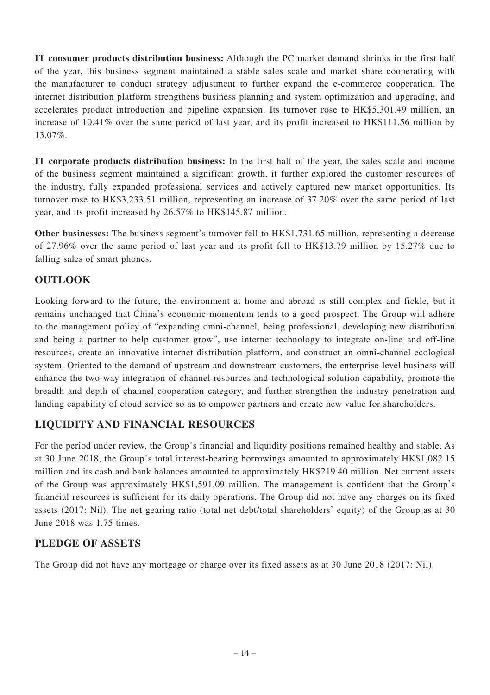**IT consumer products distribution business:** Although the PC market demand shrinks in the first half of the year, this business segment maintained a stable sales scale and market share cooperating with the manufacturer to conduct strategy adjustment to further expand the e-commerce cooperation. The internet distribution platform strengthens business planning and system optimization and upgrading, and accelerates product introduction and pipeline expansion. Its turnover rose to HK\$5,301.49 million, an increase of 10.41% over the same period of last year, and its profit increased to HK\$111.56 million by 13.07%.

**IT corporate products distribution business:** In the first half of the year, the sales scale and income of the business segment maintained a significant growth, it further explored the customer resources of the industry, fully expanded professional services and actively captured new market opportunities. Its turnover rose to HK\$3,233.51 million, representing an increase of 37.20% over the same period of last year, and its profit increased by 26.57% to HK\$145.87 million.

**Other businesses:** The business segment's turnover fell to HK\$1,731.65 million, representing a decrease of 27.96% over the same period of last year and its profit fell to HK\$13.79 million by 15.27% due to falling sales of smart phones.

# **OUTLOOK**

Looking forward to the future, the environment at home and abroad is still complex and fickle, but it remains unchanged that China's economic momentum tends to a good prospect. The Group will adhere to the management policy of "expanding omni-channel, being professional, developing new distribution and being a partner to help customer grow", use internet technology to integrate on-line and off-line resources, create an innovative internet distribution platform, and construct an omni-channel ecological system. Oriented to the demand of upstream and downstream customers, the enterprise-level business will enhance the two-way integration of channel resources and technological solution capability, promote the breadth and depth of channel cooperation category, and further strengthen the industry penetration and landing capability of cloud service so as to empower partners and create new value for shareholders.

# **LIQUIDITY AND FINANCIAL RESOURCES**

For the period under review, the Group's financial and liquidity positions remained healthy and stable. As at 30 June 2018, the Group's total interest-bearing borrowings amounted to approximately HK\$1,082.15 million and its cash and bank balances amounted to approximately HK\$219.40 million. Net current assets of the Group was approximately HK\$1,591.09 million. The management is confident that the Group's financial resources is sufficient for its daily operations. The Group did not have any charges on its fixed assets (2017: Nil). The net gearing ratio (total net debt/total shareholders' equity) of the Group as at 30 June 2018 was 1.75 times.

# **PLEDGE OF ASSETS**

The Group did not have any mortgage or charge over its fixed assets as at 30 June 2018 (2017: Nil).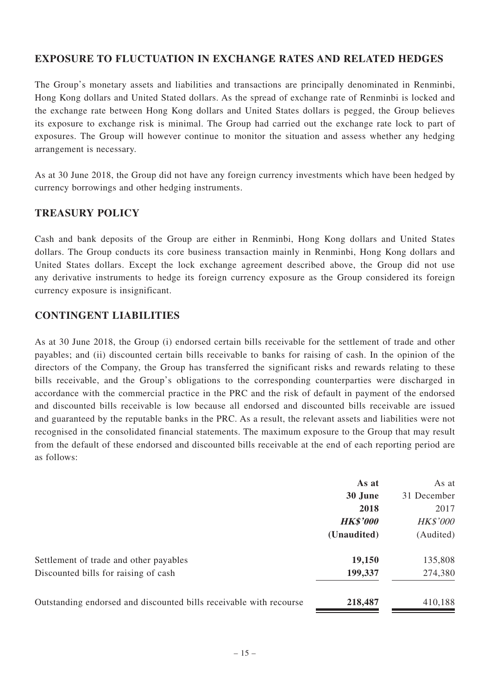#### **EXPOSURE TO FLUCTUATION IN EXCHANGE RATES AND RELATED HEDGES**

The Group's monetary assets and liabilities and transactions are principally denominated in Renminbi, Hong Kong dollars and United Stated dollars. As the spread of exchange rate of Renminbi is locked and the exchange rate between Hong Kong dollars and United States dollars is pegged, the Group believes its exposure to exchange risk is minimal. The Group had carried out the exchange rate lock to part of exposures. The Group will however continue to monitor the situation and assess whether any hedging arrangement is necessary.

As at 30 June 2018, the Group did not have any foreign currency investments which have been hedged by currency borrowings and other hedging instruments.

### **TREASURY POLICY**

Cash and bank deposits of the Group are either in Renminbi, Hong Kong dollars and United States dollars. The Group conducts its core business transaction mainly in Renminbi, Hong Kong dollars and United States dollars. Except the lock exchange agreement described above, the Group did not use any derivative instruments to hedge its foreign currency exposure as the Group considered its foreign currency exposure is insignificant.

### **CONTINGENT LIABILITIES**

As at 30 June 2018, the Group (i) endorsed certain bills receivable for the settlement of trade and other payables; and (ii) discounted certain bills receivable to banks for raising of cash. In the opinion of the directors of the Company, the Group has transferred the significant risks and rewards relating to these bills receivable, and the Group's obligations to the corresponding counterparties were discharged in accordance with the commercial practice in the PRC and the risk of default in payment of the endorsed and discounted bills receivable is low because all endorsed and discounted bills receivable are issued and guaranteed by the reputable banks in the PRC. As a result, the relevant assets and liabilities were not recognised in the consolidated financial statements. The maximum exposure to the Group that may result from the default of these endorsed and discounted bills receivable at the end of each reporting period are as follows:

|                                                                    | As at           | As at           |
|--------------------------------------------------------------------|-----------------|-----------------|
|                                                                    | 30 June         | 31 December     |
|                                                                    | 2018            | 2017            |
|                                                                    | <b>HK\$'000</b> | <b>HK\$'000</b> |
|                                                                    | (Unaudited)     | (Audited)       |
| Settlement of trade and other payables                             | 19,150          | 135,808         |
| Discounted bills for raising of cash                               | 199,337         | 274,380         |
| Outstanding endorsed and discounted bills receivable with recourse | 218,487         | 410,188         |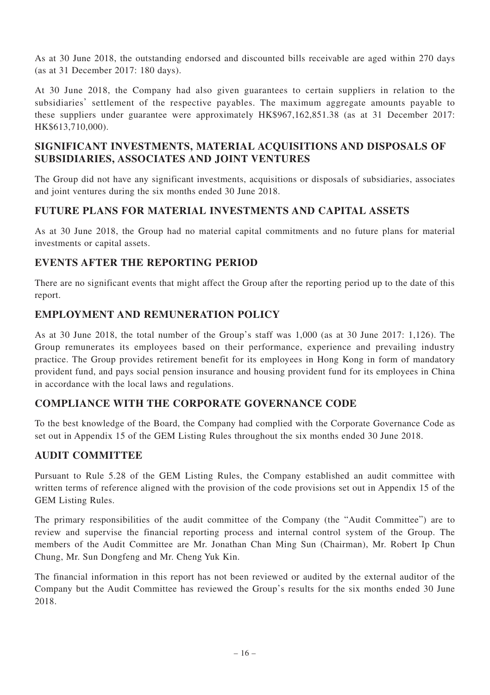As at 30 June 2018, the outstanding endorsed and discounted bills receivable are aged within 270 days (as at 31 December 2017: 180 days).

At 30 June 2018, the Company had also given guarantees to certain suppliers in relation to the subsidiaries' settlement of the respective payables. The maximum aggregate amounts payable to these suppliers under guarantee were approximately HK\$967,162,851.38 (as at 31 December 2017: HK\$613,710,000).

# **SIGNIFICANT INVESTMENTS, MATERIAL ACQUISITIONS AND DISPOSALS OF SUBSIDIARIES, ASSOCIATES AND JOINT VENTURES**

The Group did not have any significant investments, acquisitions or disposals of subsidiaries, associates and joint ventures during the six months ended 30 June 2018.

#### **FUTURE PLANS FOR MATERIAL INVESTMENTS AND CAPITAL ASSETS**

As at 30 June 2018, the Group had no material capital commitments and no future plans for material investments or capital assets.

#### **EVENTS AFTER THE REPORTING PERIOD**

There are no significant events that might affect the Group after the reporting period up to the date of this report.

#### **EMPLOYMENT AND REMUNERATION POLICY**

As at 30 June 2018, the total number of the Group's staff was 1,000 (as at 30 June 2017: 1,126). The Group remunerates its employees based on their performance, experience and prevailing industry practice. The Group provides retirement benefit for its employees in Hong Kong in form of mandatory provident fund, and pays social pension insurance and housing provident fund for its employees in China in accordance with the local laws and regulations.

#### **COMPLIANCE WITH THE CORPORATE GOVERNANCE CODE**

To the best knowledge of the Board, the Company had complied with the Corporate Governance Code as set out in Appendix 15 of the GEM Listing Rules throughout the six months ended 30 June 2018.

# **AUDIT COMMITTEE**

Pursuant to Rule 5.28 of the GEM Listing Rules, the Company established an audit committee with written terms of reference aligned with the provision of the code provisions set out in Appendix 15 of the GEM Listing Rules.

The primary responsibilities of the audit committee of the Company (the "Audit Committee") are to review and supervise the financial reporting process and internal control system of the Group. The members of the Audit Committee are Mr. Jonathan Chan Ming Sun (Chairman), Mr. Robert Ip Chun Chung, Mr. Sun Dongfeng and Mr. Cheng Yuk Kin.

The financial information in this report has not been reviewed or audited by the external auditor of the Company but the Audit Committee has reviewed the Group's results for the six months ended 30 June 2018.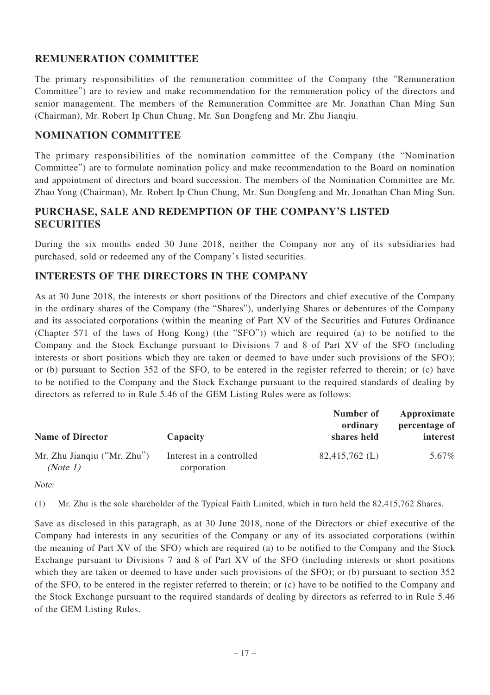### **REMUNERATION COMMITTEE**

The primary responsibilities of the remuneration committee of the Company (the "Remuneration Committee") are to review and make recommendation for the remuneration policy of the directors and senior management. The members of the Remuneration Committee are Mr. Jonathan Chan Ming Sun (Chairman), Mr. Robert Ip Chun Chung, Mr. Sun Dongfeng and Mr. Zhu Jianqiu.

#### **NOMINATION COMMITTEE**

The primary responsibilities of the nomination committee of the Company (the "Nomination Committee") are to formulate nomination policy and make recommendation to the Board on nomination and appointment of directors and board succession. The members of the Nomination Committee are Mr. Zhao Yong (Chairman), Mr. Robert Ip Chun Chung, Mr. Sun Dongfeng and Mr. Jonathan Chan Ming Sun.

#### **PURCHASE, SALE AND REDEMPTION OF THE COMPANY'S LISTED SECURITIES**

During the six months ended 30 June 2018, neither the Company nor any of its subsidiaries had purchased, sold or redeemed any of the Company's listed securities.

#### **INTERESTS OF THE DIRECTORS IN THE COMPANY**

As at 30 June 2018, the interests or short positions of the Directors and chief executive of the Company in the ordinary shares of the Company (the "Shares"), underlying Shares or debentures of the Company and its associated corporations (within the meaning of Part XV of the Securities and Futures Ordinance (Chapter 571 of the laws of Hong Kong) (the "SFO")) which are required (a) to be notified to the Company and the Stock Exchange pursuant to Divisions 7 and 8 of Part XV of the SFO (including interests or short positions which they are taken or deemed to have under such provisions of the SFO); or (b) pursuant to Section 352 of the SFO, to be entered in the register referred to therein; or (c) have to be notified to the Company and the Stock Exchange pursuant to the required standards of dealing by directors as referred to in Rule 5.46 of the GEM Listing Rules were as follows:

| <b>Name of Director</b>                 | Capacity                                | Number of<br>ordinary<br>shares held | Approximate<br>percentage of<br>interest |
|-----------------------------------------|-----------------------------------------|--------------------------------------|------------------------------------------|
| Mr. Zhu Jiangiu ("Mr. Zhu")<br>(Note 1) | Interest in a controlled<br>corporation | $82.415.762$ (L)                     | 5.67%                                    |

Note:

(1) Mr. Zhu is the sole shareholder of the Typical Faith Limited, which in turn held the 82,415,762 Shares.

Save as disclosed in this paragraph, as at 30 June 2018, none of the Directors or chief executive of the Company had interests in any securities of the Company or any of its associated corporations (within the meaning of Part XV of the SFO) which are required (a) to be notified to the Company and the Stock Exchange pursuant to Divisions 7 and 8 of Part XV of the SFO (including interests or short positions which they are taken or deemed to have under such provisions of the SFO); or (b) pursuant to section 352 of the SFO, to be entered in the register referred to therein; or (c) have to be notified to the Company and the Stock Exchange pursuant to the required standards of dealing by directors as referred to in Rule 5.46 of the GEM Listing Rules.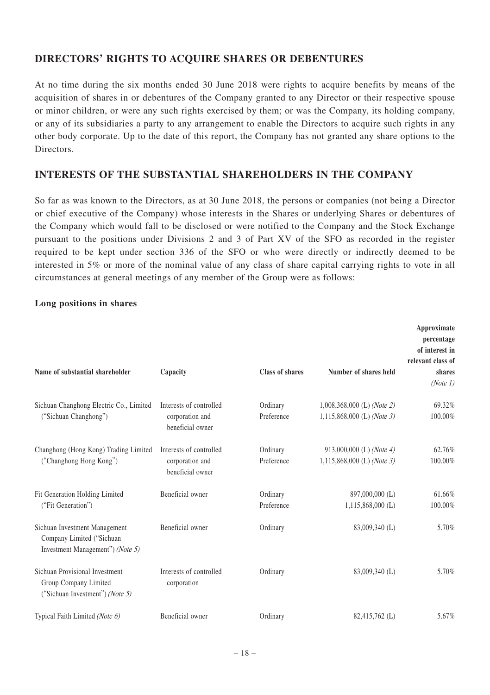## **DIRECTORS' RIGHTS TO ACQUIRE SHARES OR DEBENTURES**

At no time during the six months ended 30 June 2018 were rights to acquire benefits by means of the acquisition of shares in or debentures of the Company granted to any Director or their respective spouse or minor children, or were any such rights exercised by them; or was the Company, its holding company, or any of its subsidiaries a party to any arrangement to enable the Directors to acquire such rights in any other body corporate. Up to the date of this report, the Company has not granted any share options to the Directors.

#### **INTERESTS OF THE SUBSTANTIAL SHAREHOLDERS IN THE COMPANY**

So far as was known to the Directors, as at 30 June 2018, the persons or companies (not being a Director or chief executive of the Company) whose interests in the Shares or underlying Shares or debentures of the Company which would fall to be disclosed or were notified to the Company and the Stock Exchange pursuant to the positions under Divisions 2 and 3 of Part XV of the SFO as recorded in the register required to be kept under section 336 of the SFO or who were directly or indirectly deemed to be interested in 5% or more of the nominal value of any class of share capital carrying rights to vote in all circumstances at general meetings of any member of the Group were as follows:

#### **Long positions in shares**

| Name of substantial shareholder                                                                | Capacity                                                       | Class of shares        | Number of shares held                                      | Approximate<br>percentage<br>of interest in<br>relevant class of<br>shares<br>(Note 1) |
|------------------------------------------------------------------------------------------------|----------------------------------------------------------------|------------------------|------------------------------------------------------------|----------------------------------------------------------------------------------------|
| Sichuan Changhong Electric Co., Limited<br>("Sichuan Changhong")                               | Interests of controlled<br>corporation and<br>beneficial owner | Ordinary<br>Preference | $1,008,368,000$ (L) (Note 2)<br>1,115,868,000 (L) (Note 3) | 69.32%<br>100.00%                                                                      |
| Changhong (Hong Kong) Trading Limited<br>("Changhong Hong Kong")                               | Interests of controlled<br>corporation and<br>beneficial owner | Ordinary<br>Preference | 913,000,000 (L) (Note 4)<br>1,115,868,000 (L) (Note 3)     | 62.76%<br>100.00%                                                                      |
| Fit Generation Holding Limited<br>("Fit Generation")                                           | Beneficial owner                                               | Ordinary<br>Preference | 897,000,000 (L)<br>$1,115,868,000$ (L)                     | 61.66%<br>100.00%                                                                      |
| Sichuan Investment Management<br>Company Limited ("Sichuan<br>Investment Management") (Note 5) | Beneficial owner                                               | Ordinary               | 83,009,340 (L)                                             | 5.70%                                                                                  |
| Sichuan Provisional Investment<br>Group Company Limited<br>("Sichuan Investment") (Note 5)     | Interests of controlled<br>corporation                         | Ordinary               | 83,009,340 (L)                                             | 5.70%                                                                                  |
| Typical Faith Limited (Note 6)                                                                 | Beneficial owner                                               | Ordinary               | 82,415,762 (L)                                             | 5.67%                                                                                  |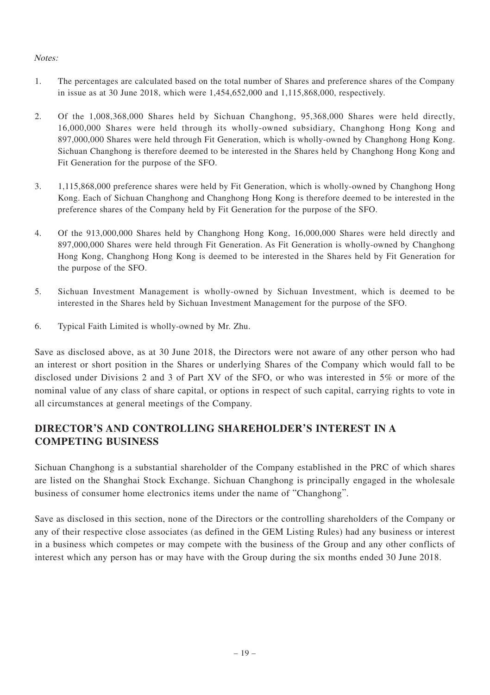#### Notes:

- 1. The percentages are calculated based on the total number of Shares and preference shares of the Company in issue as at 30 June 2018, which were 1,454,652,000 and 1,115,868,000, respectively.
- 2. Of the 1,008,368,000 Shares held by Sichuan Changhong, 95,368,000 Shares were held directly, 16,000,000 Shares were held through its wholly-owned subsidiary, Changhong Hong Kong and 897,000,000 Shares were held through Fit Generation, which is wholly-owned by Changhong Hong Kong. Sichuan Changhong is therefore deemed to be interested in the Shares held by Changhong Hong Kong and Fit Generation for the purpose of the SFO.
- 3. 1,115,868,000 preference shares were held by Fit Generation, which is wholly-owned by Changhong Hong Kong. Each of Sichuan Changhong and Changhong Hong Kong is therefore deemed to be interested in the preference shares of the Company held by Fit Generation for the purpose of the SFO.
- 4. Of the 913,000,000 Shares held by Changhong Hong Kong, 16,000,000 Shares were held directly and 897,000,000 Shares were held through Fit Generation. As Fit Generation is wholly-owned by Changhong Hong Kong, Changhong Hong Kong is deemed to be interested in the Shares held by Fit Generation for the purpose of the SFO.
- 5. Sichuan Investment Management is wholly-owned by Sichuan Investment, which is deemed to be interested in the Shares held by Sichuan Investment Management for the purpose of the SFO.
- 6. Typical Faith Limited is wholly-owned by Mr. Zhu.

Save as disclosed above, as at 30 June 2018, the Directors were not aware of any other person who had an interest or short position in the Shares or underlying Shares of the Company which would fall to be disclosed under Divisions 2 and 3 of Part XV of the SFO, or who was interested in 5% or more of the nominal value of any class of share capital, or options in respect of such capital, carrying rights to vote in all circumstances at general meetings of the Company.

# **DIRECTOR'S AND CONTROLLING SHAREHOLDER'S INTEREST IN A COMPETING BUSINESS**

Sichuan Changhong is a substantial shareholder of the Company established in the PRC of which shares are listed on the Shanghai Stock Exchange. Sichuan Changhong is principally engaged in the wholesale business of consumer home electronics items under the name of "Changhong".

Save as disclosed in this section, none of the Directors or the controlling shareholders of the Company or any of their respective close associates (as defined in the GEM Listing Rules) had any business or interest in a business which competes or may compete with the business of the Group and any other conflicts of interest which any person has or may have with the Group during the six months ended 30 June 2018.